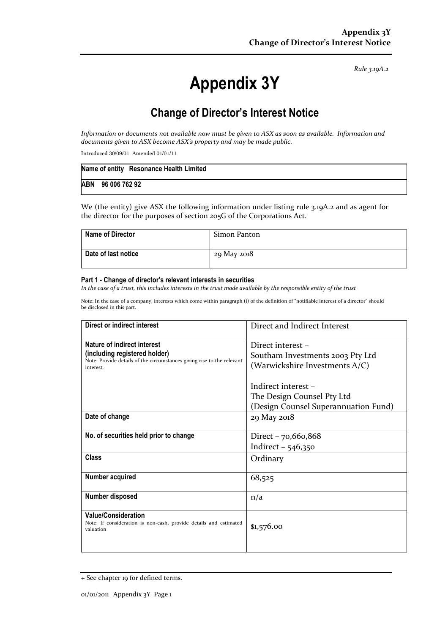Rule 3.19A.2

# Appendix 3Y

# Change of Director's Interest Notice

Information or documents not available now must be given to ASX as soon as available. Information and documents given to ASX become ASX's property and may be made public.

Introduced 30/09/01 Amended 01/01/11

|                   | Name of entity Resonance Health Limited |
|-------------------|-----------------------------------------|
| ABN 96 006 762 92 |                                         |

We (the entity) give ASX the following information under listing rule 3.19A.2 and as agent for the director for the purposes of section 205G of the Corporations Act.

| <b>Name of Director</b> | Simon Panton |
|-------------------------|--------------|
| Date of last notice     | 29 May 2018  |

#### Part 1 - Change of director's relevant interests in securities

In the case of a trust, this includes interests in the trust made available by the responsible entity of the trust

Note: In the case of a company, interests which come within paragraph (i) of the definition of "notifiable interest of a director" should be disclosed in this part.

| Direct or indirect interest                                                         | Direct and Indirect Interest         |  |
|-------------------------------------------------------------------------------------|--------------------------------------|--|
| Nature of indirect interest                                                         | Direct interest -                    |  |
| (including registered holder)                                                       | Southam Investments 2003 Pty Ltd     |  |
| Note: Provide details of the circumstances giving rise to the relevant<br>interest. | (Warwickshire Investments A/C)       |  |
|                                                                                     |                                      |  |
|                                                                                     | Indirect interest -                  |  |
|                                                                                     | The Design Counsel Pty Ltd           |  |
|                                                                                     | (Design Counsel Superannuation Fund) |  |
| Date of change                                                                      | 29 May 2018                          |  |
|                                                                                     |                                      |  |
| No. of securities held prior to change                                              | Direct - 70,660,868                  |  |
|                                                                                     | Indirect $-546,350$                  |  |
| Class                                                                               | Ordinary                             |  |
|                                                                                     |                                      |  |
| Number acquired                                                                     | 68,525                               |  |
|                                                                                     |                                      |  |
| Number disposed                                                                     | n/a                                  |  |
| <b>Value/Consideration</b>                                                          |                                      |  |
| Note: If consideration is non-cash, provide details and estimated                   | \$1,576.00                           |  |
| valuation                                                                           |                                      |  |
|                                                                                     |                                      |  |

<sup>+</sup> See chapter 19 for defined terms.